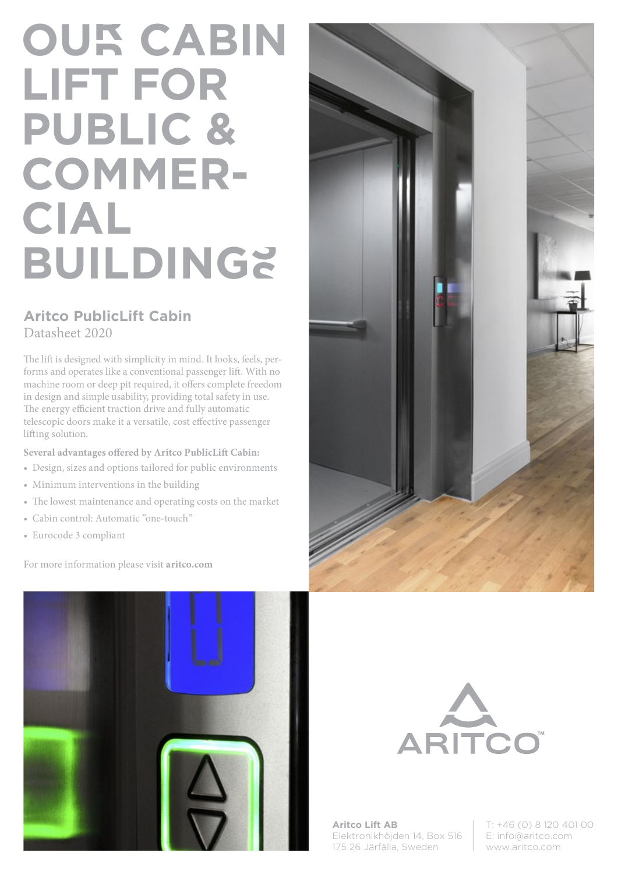# **OUR CABIN LIFT FOR PUBLIC & COMMER-CIAL BUILDINGS**

## **Aritco PublicLift Cabin** Datasheet 2020

The lift is designed with simplicity in mind. It looks, feels, performs and operates like a conventional passenger lift. With no machine room or deep pit required, it offers complete freedom in design and simple usability, providing total safety in use. The energy efficient traction drive and fully automatic telescopic doors make it a versatile, cost effective passenger lifting solution.

**Several advantages offered by Aritco PublicLift Cabin:**

- Design, sizes and options tailored for public environments
- Minimum interventions in the building
- The lowest maintenance and operating costs on the market
- Cabin control: Automatic "one-touch"
- Eurocode 3 compliant

For more information please visit **aritco.com**







**Aritco Lift AB** Elektronikhöjden 14, Box 516 175 26 Järfälla, Sweden

T: +46 (0) 8 120 401 00 E: info@aritco.com www.aritco.com